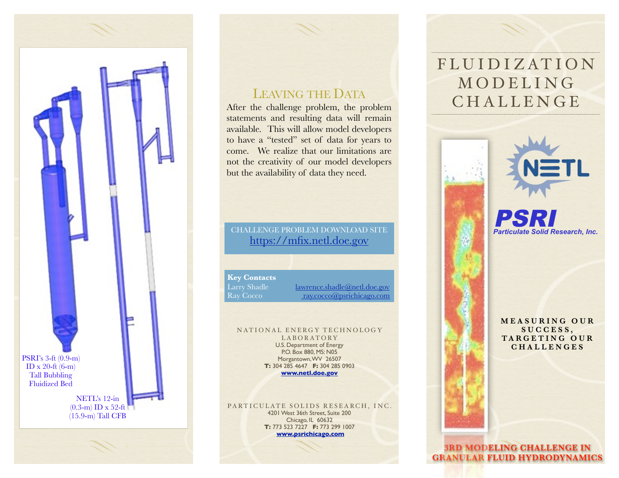

#### LEAVING THE DATA

After the challenge problem, the problem statements and resulting data will remain available. This will allow model developers to have a "tested" set of data for years to come. We realize that our limitations are not the creativity of our model developers but the availability of data they need.

#### CHALLENGE PROBLEM DOWNLOAD SITE [https://mfix.netl.doe.gov](http://www.mfix.org/challenge)

**Key Contacts**

Larry Shadle [lawrence.shadle@netl.doe.gov](mailto:lawrence.shadle@netl.doe.gov) Ray Cocco [ray.cocco@psrichicago.com](mailto:ray.cocco@psrichicago.com)

NATIONAL ENERGY TECHNOLOGY LABORATORY U.S. Department of Energy P.O. Box 880, MS: N05 Morgantown, WV 26507 **T:** 304 285 4647 **F:** 304 285 0903 **[www.netl.doe.gov](http://www.netl.dow.gov)**

PARTICULATE SOLIDS RESEARCH, INC. 4201 West 36th Street, Suite 200 Chicago, IL 60632 **T:** 773 523 7227 **F:** 773 299 1007 **[www.psrichicago.com](http://www.psrichocago.com)**

## FLUIDIZATION **MODELING** CHALLENGE



*Particulate Solid Research, Inc.* PSRI

**M E A S U R I N G O U R S U C C E S S , T A R G E T I N G O U R CHALLENGES**

**3RD MODELING CHALLENGE IN GRANULAR FLUID HYDRODYNAMICS**